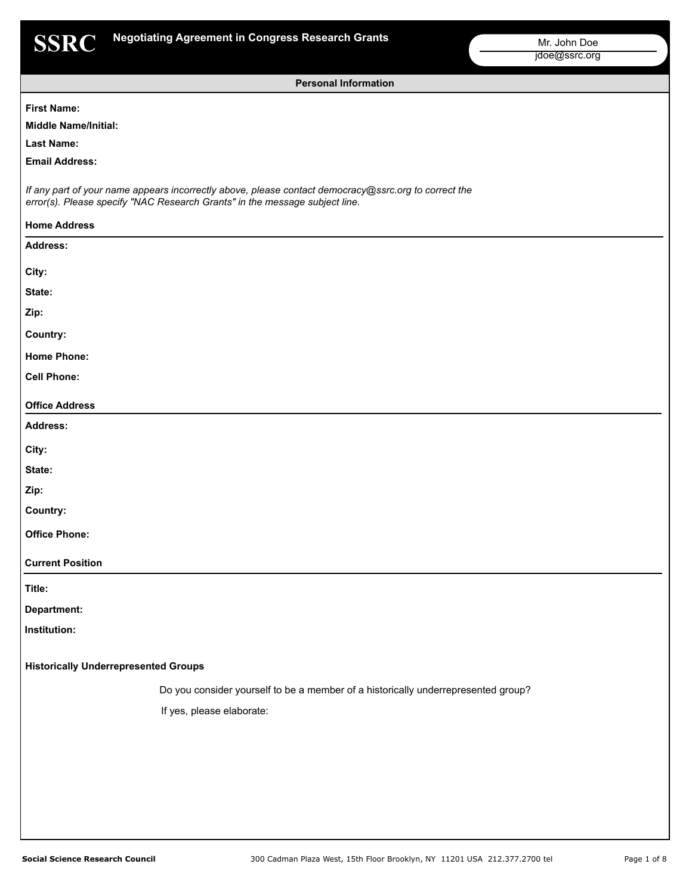

**Personal Information**

### **First Name:**

# **Middle Name/Initial:**

**Last Name:**

**Email Address:**

*If any part of your name appears incorrectly above, please contact democracy@ssrc.org to correct the error(s). Please specify "NAC Research Grants" in the message subject line.*

| <b>Home Address</b>                         |                                                                                   |
|---------------------------------------------|-----------------------------------------------------------------------------------|
| Address:                                    |                                                                                   |
| City:                                       |                                                                                   |
| State:                                      |                                                                                   |
| Zip:                                        |                                                                                   |
| Country:                                    |                                                                                   |
| <b>Home Phone:</b>                          |                                                                                   |
| <b>Cell Phone:</b>                          |                                                                                   |
| <b>Office Address</b>                       |                                                                                   |
| Address:                                    |                                                                                   |
| City:                                       |                                                                                   |
| State:                                      |                                                                                   |
| Zip:                                        |                                                                                   |
| Country:                                    |                                                                                   |
| <b>Office Phone:</b>                        |                                                                                   |
| <b>Current Position</b>                     |                                                                                   |
| Title:                                      |                                                                                   |
| Department:                                 |                                                                                   |
| Institution:                                |                                                                                   |
| <b>Historically Underrepresented Groups</b> |                                                                                   |
|                                             | Do you consider yourself to be a member of a historically underrepresented group? |
|                                             | If yes, please elaborate:                                                         |
|                                             |                                                                                   |
|                                             |                                                                                   |
|                                             |                                                                                   |
|                                             |                                                                                   |
|                                             |                                                                                   |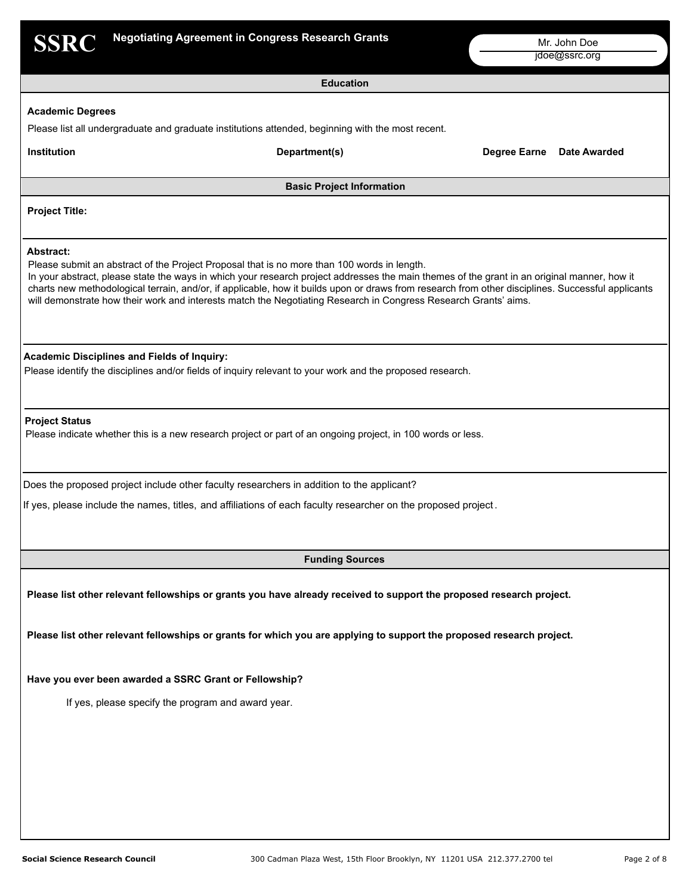| <b>SSRC</b>             |                                                                                                                                                                                                                                                                                                                                                                                                                                                                                                                    |                           |
|-------------------------|--------------------------------------------------------------------------------------------------------------------------------------------------------------------------------------------------------------------------------------------------------------------------------------------------------------------------------------------------------------------------------------------------------------------------------------------------------------------------------------------------------------------|---------------------------|
|                         | <b>Negotiating Agreement in Congress Research Grants</b>                                                                                                                                                                                                                                                                                                                                                                                                                                                           | Mr. John Doe              |
|                         |                                                                                                                                                                                                                                                                                                                                                                                                                                                                                                                    | jdoe@ssrc.org             |
|                         | <b>Education</b>                                                                                                                                                                                                                                                                                                                                                                                                                                                                                                   |                           |
| <b>Academic Degrees</b> |                                                                                                                                                                                                                                                                                                                                                                                                                                                                                                                    |                           |
|                         | Please list all undergraduate and graduate institutions attended, beginning with the most recent.                                                                                                                                                                                                                                                                                                                                                                                                                  |                           |
| Institution             | Department(s)                                                                                                                                                                                                                                                                                                                                                                                                                                                                                                      | Degree Earne Date Awarded |
|                         | <b>Basic Project Information</b>                                                                                                                                                                                                                                                                                                                                                                                                                                                                                   |                           |
| <b>Project Title:</b>   |                                                                                                                                                                                                                                                                                                                                                                                                                                                                                                                    |                           |
|                         |                                                                                                                                                                                                                                                                                                                                                                                                                                                                                                                    |                           |
| <b>Abstract:</b>        | Please submit an abstract of the Project Proposal that is no more than 100 words in length.<br>In your abstract, please state the ways in which your research project addresses the main themes of the grant in an original manner, how it<br>charts new methodological terrain, and/or, if applicable, how it builds upon or draws from research from other disciplines. Successful applicants<br>will demonstrate how their work and interests match the Negotiating Research in Congress Research Grants' aims. |                           |
|                         | <b>Academic Disciplines and Fields of Inquiry:</b><br>Please identify the disciplines and/or fields of inquiry relevant to your work and the proposed research.                                                                                                                                                                                                                                                                                                                                                    |                           |
| <b>Project Status</b>   | Please indicate whether this is a new research project or part of an ongoing project, in 100 words or less.                                                                                                                                                                                                                                                                                                                                                                                                        |                           |
|                         | Does the proposed project include other faculty researchers in addition to the applicant?                                                                                                                                                                                                                                                                                                                                                                                                                          |                           |
|                         | If yes, please include the names, titles, and affiliations of each faculty researcher on the proposed project.                                                                                                                                                                                                                                                                                                                                                                                                     |                           |
|                         |                                                                                                                                                                                                                                                                                                                                                                                                                                                                                                                    |                           |
|                         | <b>Funding Sources</b>                                                                                                                                                                                                                                                                                                                                                                                                                                                                                             |                           |
|                         | Please list other relevant fellowships or grants you have already received to support the proposed research project.                                                                                                                                                                                                                                                                                                                                                                                               |                           |
|                         | Please list other relevant fellowships or grants for which you are applying to support the proposed research project.                                                                                                                                                                                                                                                                                                                                                                                              |                           |
|                         |                                                                                                                                                                                                                                                                                                                                                                                                                                                                                                                    |                           |
|                         | Have you ever been awarded a SSRC Grant or Fellowship?                                                                                                                                                                                                                                                                                                                                                                                                                                                             |                           |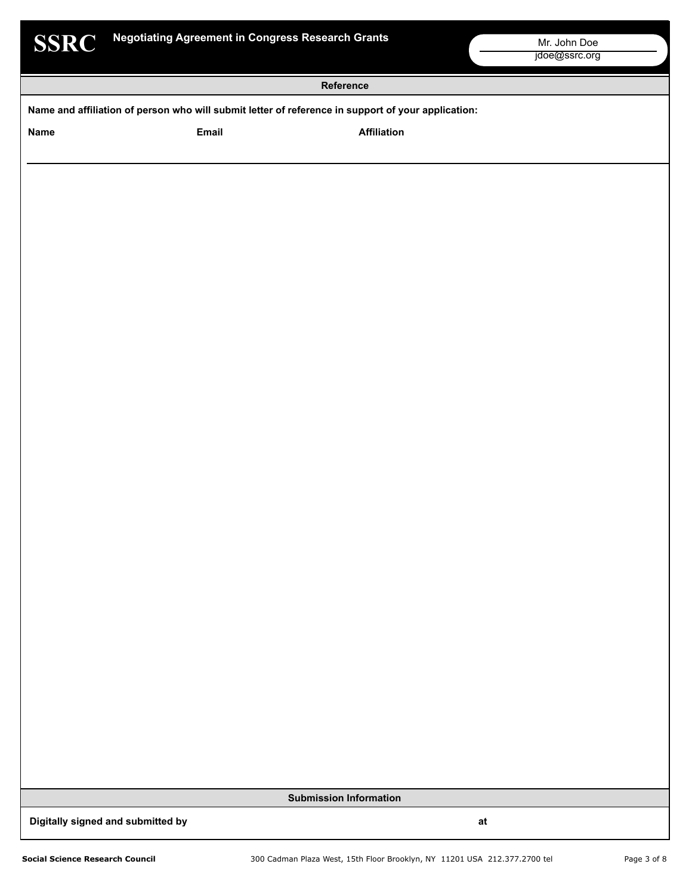| $\bullet$ | œ<br>v.<br>۰ |  |
|-----------|--------------|--|
| . .       | s<br>۰       |  |
|           |              |  |

|                                                                                                    | Reference |                    |  |
|----------------------------------------------------------------------------------------------------|-----------|--------------------|--|
| Name and affiliation of person who will submit letter of reference in support of your application: |           |                    |  |
| Name                                                                                               | Email     | <b>Affiliation</b> |  |
|                                                                                                    |           |                    |  |
|                                                                                                    |           |                    |  |
|                                                                                                    |           |                    |  |
|                                                                                                    |           |                    |  |
|                                                                                                    |           |                    |  |
|                                                                                                    |           |                    |  |
|                                                                                                    |           |                    |  |
|                                                                                                    |           |                    |  |
|                                                                                                    |           |                    |  |
|                                                                                                    |           |                    |  |
|                                                                                                    |           |                    |  |
|                                                                                                    |           |                    |  |
|                                                                                                    |           |                    |  |
|                                                                                                    |           |                    |  |
|                                                                                                    |           |                    |  |
|                                                                                                    |           |                    |  |
|                                                                                                    |           |                    |  |
|                                                                                                    |           |                    |  |
|                                                                                                    |           |                    |  |
|                                                                                                    |           |                    |  |
|                                                                                                    |           |                    |  |
|                                                                                                    |           |                    |  |
|                                                                                                    |           |                    |  |
|                                                                                                    |           |                    |  |

**Submission Information**

**Digitally signed and submitted by at at all of the state of the state of the state of the state of the state of the state of the state of the state of the state of the state of the state of the state of the state of the s**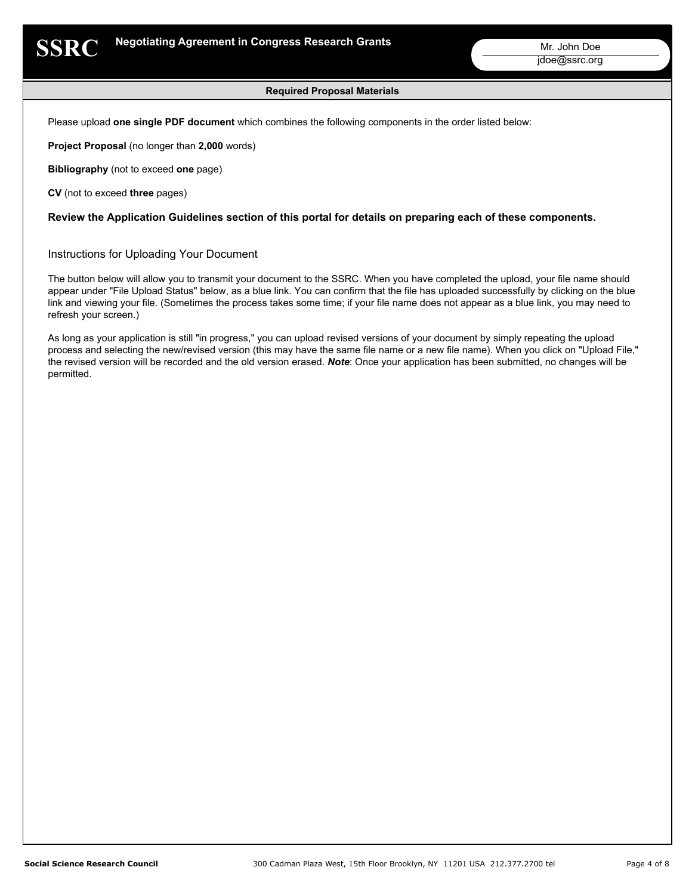

### **Required Proposal Materials**

Please upload **one single PDF document** which combines the following components in the order listed below:

**Project Proposal** (no longer than **2,000** words)

**Bibliography** (not to exceed **one** page)

**CV** (not to exceed **three** pages)

**Review the Application Guidelines section of this portal for details on preparing each of these components.**

Instructions for Uploading Your Document

The button below will allow you to transmit your document to the SSRC. When you have completed the upload, your file name should appear under "File Upload Status" below, as a blue link. You can confirm that the file has uploaded successfully by clicking on the blue link and viewing your file. (Sometimes the process takes some time; if your file name does not appear as a blue link, you may need to refresh your screen.)

As long as your application is still "in progress," you can upload revised versions of your document by simply repeating the upload process and selecting the new/revised version (this may have the same file name or a new file name). When you click on "Upload File," the revised version will be recorded and the old version erased. *Note*: Once your application has been submitted, no changes will be permitted.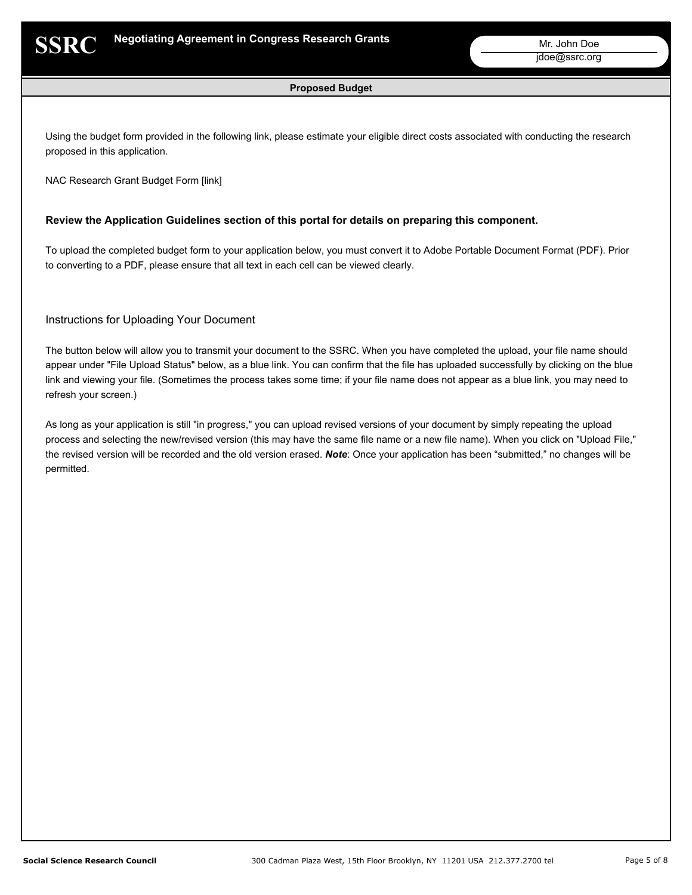### **Proposed Budget**

Using the budget form provided in the following link, please estimate your eligible direct costs associated with conducting the research proposed in this application.

NAC Research Grant Budget Form [link]

### **Review the Application Guidelines section of this portal for details on preparing this component.**

To upload the completed budget form to your application below, you must convert it to Adobe Portable Document Format (PDF). Prior to converting to a PDF, please ensure that all text in each cell can be viewed clearly.

# Instructions for Uploading Your Document

The button below will allow you to transmit your document to the SSRC. When you have completed the upload, your file name should appear under "File Upload Status" below, as a blue link. You can confirm that the file has uploaded successfully by clicking on the blue link and viewing your file. (Sometimes the process takes some time; if your file name does not appear as a blue link, you may need to refresh your screen.)

As long as your application is still "in progress," you can upload revised versions of your document by simply repeating the upload process and selecting the new/revised version (this may have the same file name or a new file name). When you click on "Upload File," the revised version will be recorded and the old version erased. *Note*: Once your application has been "submitted," no changes will be permitted.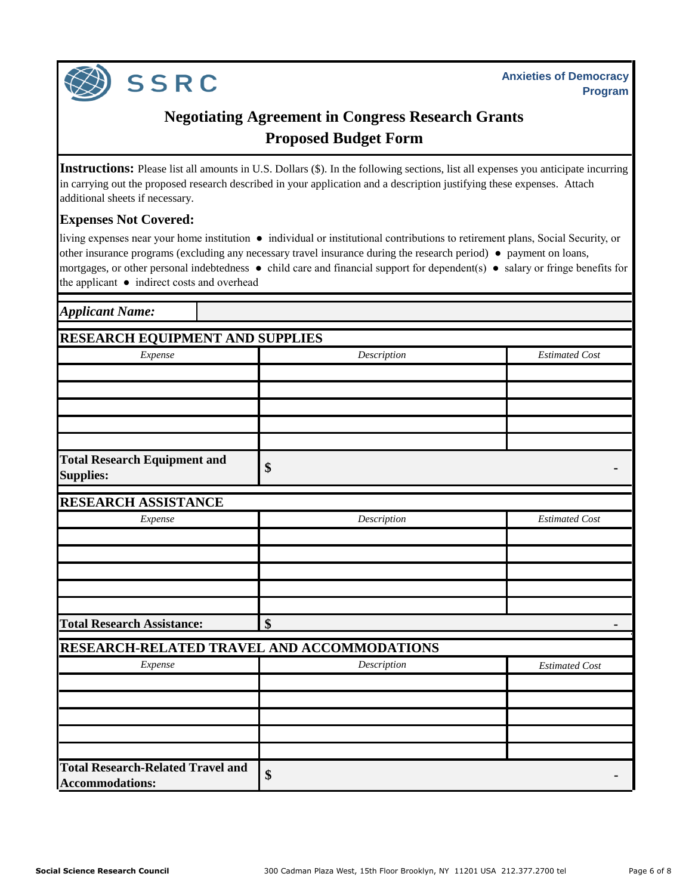

**SSRC** 

# **Proposed Budget Form Negotiating Agreement in Congress Research Grants**

**Instructions:** Please list all amounts in U.S. Dollars (\$). In the following sections, list all expenses you anticipate incurring in carrying out the proposed research described in your application and a description justifying these expenses. Attach additional sheets if necessary.

# **Expenses Not Covered:**

living expenses near your home institution ● individual or institutional contributions to retirement plans, Social Security, or other insurance programs (excluding any necessary travel insurance during the research period) ● payment on loans, mortgages, or other personal indebtedness ● child care and financial support for dependent(s) ● salary or fringe benefits for the applicant ● indirect costs and overhead

| <b>Applicant Name:</b>                                             |                           |                       |
|--------------------------------------------------------------------|---------------------------|-----------------------|
| <b>RESEARCH EQUIPMENT AND SUPPLIES</b>                             |                           |                       |
| Expense                                                            | Description               | <b>Estimated Cost</b> |
|                                                                    |                           |                       |
|                                                                    |                           |                       |
|                                                                    |                           |                       |
|                                                                    |                           |                       |
|                                                                    |                           |                       |
| <b>Total Research Equipment and</b><br><b>Supplies:</b>            | \$                        |                       |
| <b>RESEARCH ASSISTANCE</b>                                         |                           |                       |
| Expense                                                            | Description               | <b>Estimated Cost</b> |
|                                                                    |                           |                       |
|                                                                    |                           |                       |
|                                                                    |                           |                       |
|                                                                    |                           |                       |
|                                                                    |                           |                       |
| <b>Total Research Assistance:</b>                                  | $\boldsymbol{\mathsf{S}}$ |                       |
| RESEARCH-RELATED TRAVEL AND ACCOMMODATIONS                         |                           |                       |
| Expense                                                            | Description               | <b>Estimated Cost</b> |
|                                                                    |                           |                       |
|                                                                    |                           |                       |
|                                                                    |                           |                       |
|                                                                    |                           |                       |
|                                                                    |                           |                       |
| <b>Total Research-Related Travel and</b><br><b>Accommodations:</b> | \$                        |                       |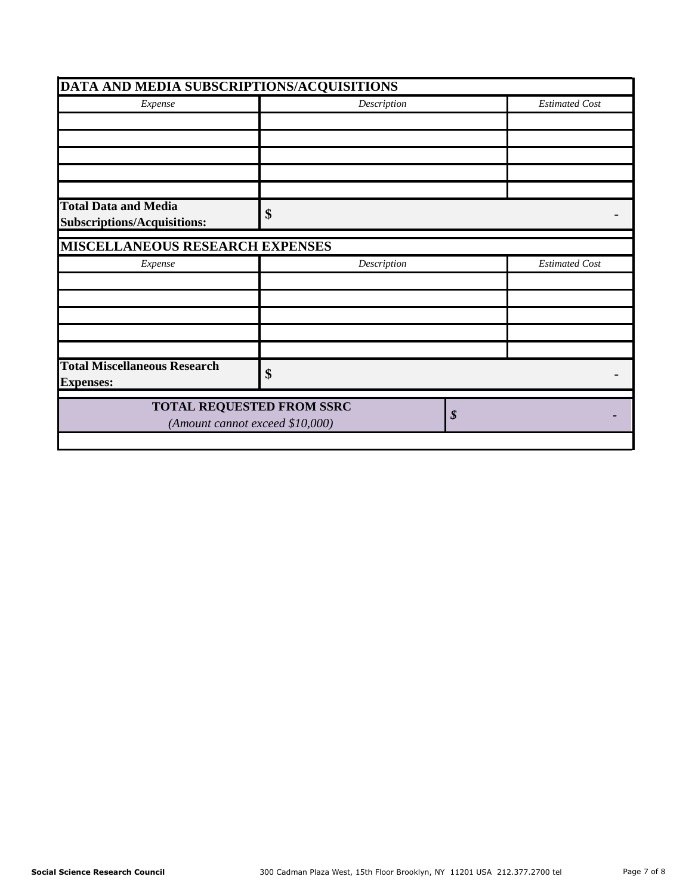| DATA AND MEDIA SUBSCRIPTIONS/ACQUISITIONS                         |                                                                     |    |                       |  |
|-------------------------------------------------------------------|---------------------------------------------------------------------|----|-----------------------|--|
| Expense                                                           | Description                                                         |    | <b>Estimated Cost</b> |  |
|                                                                   |                                                                     |    |                       |  |
|                                                                   |                                                                     |    |                       |  |
|                                                                   |                                                                     |    |                       |  |
|                                                                   |                                                                     |    |                       |  |
|                                                                   |                                                                     |    |                       |  |
| <b>Total Data and Media</b><br><b>Subscriptions/Acquisitions:</b> | \$                                                                  |    |                       |  |
| <b>MISCELLANEOUS RESEARCH EXPENSES</b>                            |                                                                     |    |                       |  |
| Expense                                                           | Description<br><b>Estimated Cost</b>                                |    |                       |  |
|                                                                   |                                                                     |    |                       |  |
|                                                                   |                                                                     |    |                       |  |
|                                                                   |                                                                     |    |                       |  |
|                                                                   |                                                                     |    |                       |  |
|                                                                   |                                                                     |    |                       |  |
| <b>Total Miscellaneous Research</b><br><b>Expenses:</b>           | \$                                                                  |    |                       |  |
|                                                                   | <b>TOTAL REQUESTED FROM SSRC</b><br>(Amount cannot exceed \$10,000) | \$ |                       |  |
|                                                                   |                                                                     |    |                       |  |